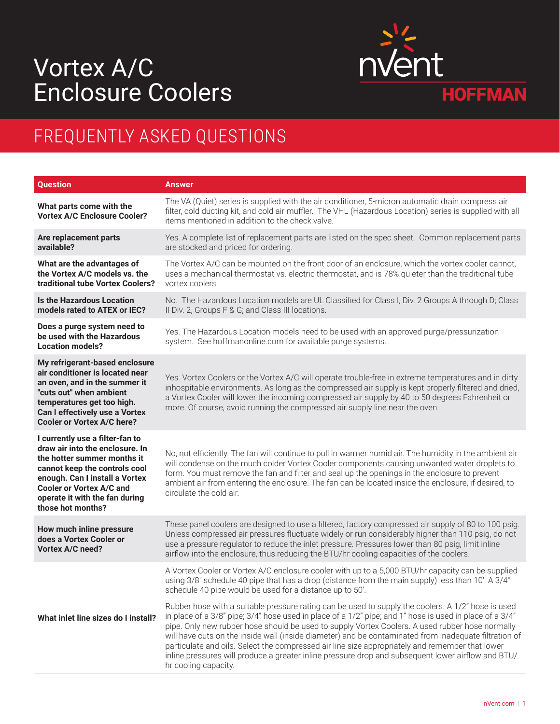## Vortex A/C Enclosure Coolers



## FREQUENTLY ASKED QUESTIONS

| <b>Question</b>                                                                                                                                                                                                                                                | <b>Answer</b>                                                                                                                                                                                                                                                                                                                                                                                                                                                                                                                                                                                                                                                                                                                                                                                                                                                                                                                   |
|----------------------------------------------------------------------------------------------------------------------------------------------------------------------------------------------------------------------------------------------------------------|---------------------------------------------------------------------------------------------------------------------------------------------------------------------------------------------------------------------------------------------------------------------------------------------------------------------------------------------------------------------------------------------------------------------------------------------------------------------------------------------------------------------------------------------------------------------------------------------------------------------------------------------------------------------------------------------------------------------------------------------------------------------------------------------------------------------------------------------------------------------------------------------------------------------------------|
| What parts come with the<br><b>Vortex A/C Enclosure Cooler?</b>                                                                                                                                                                                                | The VA (Quiet) series is supplied with the air conditioner, 5-micron automatic drain compress air<br>filter, cold ducting kit, and cold air muffler. The VHL (Hazardous Location) series is supplied with all<br>items mentioned in addition to the check valve.                                                                                                                                                                                                                                                                                                                                                                                                                                                                                                                                                                                                                                                                |
| Are replacement parts<br>available?                                                                                                                                                                                                                            | Yes. A complete list of replacement parts are listed on the spec sheet. Common replacement parts<br>are stocked and priced for ordering.                                                                                                                                                                                                                                                                                                                                                                                                                                                                                                                                                                                                                                                                                                                                                                                        |
| What are the advantages of<br>the Vortex A/C models vs. the<br>traditional tube Vortex Coolers?                                                                                                                                                                | The Vortex A/C can be mounted on the front door of an enclosure, which the vortex cooler cannot,<br>uses a mechanical thermostat vs. electric thermostat, and is 78% quieter than the traditional tube<br>vortex coolers.                                                                                                                                                                                                                                                                                                                                                                                                                                                                                                                                                                                                                                                                                                       |
| <b>Is the Hazardous Location</b><br>models rated to ATEX or IEC?                                                                                                                                                                                               | No. The Hazardous Location models are UL Classified for Class I, Div. 2 Groups A through D; Class<br>II Div. 2, Groups F & G; and Class III locations.                                                                                                                                                                                                                                                                                                                                                                                                                                                                                                                                                                                                                                                                                                                                                                          |
| Does a purge system need to<br>be used with the Hazardous<br><b>Location models?</b>                                                                                                                                                                           | Yes. The Hazardous Location models need to be used with an approved purge/pressurization<br>system. See hoffmanonline.com for available purge systems.                                                                                                                                                                                                                                                                                                                                                                                                                                                                                                                                                                                                                                                                                                                                                                          |
| My refrigerant-based enclosure<br>air conditioner is located near<br>an oven, and in the summer it<br>"cuts out" when ambient<br>temperatures get too high.<br>Can I effectively use a Vortex<br><b>Cooler or Vortex A/C here?</b>                             | Yes. Vortex Coolers or the Vortex A/C will operate trouble-free in extreme temperatures and in dirty<br>inhospitable environments. As long as the compressed air supply is kept properly filtered and dried,<br>a Vortex Cooler will lower the incoming compressed air supply by 40 to 50 degrees Fahrenheit or<br>more. Of course, avoid running the compressed air supply line near the oven.                                                                                                                                                                                                                                                                                                                                                                                                                                                                                                                                 |
| I currently use a filter-fan to<br>draw air into the enclosure. In<br>the hotter summer months it<br>cannot keep the controls cool<br>enough. Can I install a Vortex<br><b>Cooler or Vortex A/C and</b><br>operate it with the fan during<br>those hot months? | No, not efficiently. The fan will continue to pull in warmer humid air. The humidity in the ambient air<br>will condense on the much colder Vortex Cooler components causing unwanted water droplets to<br>form. You must remove the fan and filter and seal up the openings in the enclosure to prevent<br>ambient air from entering the enclosure. The fan can be located inside the enclosure, if desired, to<br>circulate the cold air.                                                                                                                                                                                                                                                                                                                                                                                                                                                                                     |
| How much inline pressure<br>does a Vortex Cooler or<br>Vortex A/C need?                                                                                                                                                                                        | These panel coolers are designed to use a filtered, factory compressed air supply of 80 to 100 psig.<br>Unless compressed air pressures fluctuate widely or run considerably higher than 110 psig, do not<br>use a pressure regulator to reduce the inlet pressure. Pressures lower than 80 psig, limit inline<br>airflow into the enclosure, thus reducing the BTU/hr cooling capacities of the coolers.                                                                                                                                                                                                                                                                                                                                                                                                                                                                                                                       |
| What inlet line sizes do I install?                                                                                                                                                                                                                            | A Vortex Cooler or Vortex A/C enclosure cooler with up to a 5,000 BTU/hr capacity can be supplied<br>using 3/8" schedule 40 pipe that has a drop (distance from the main supply) less than 10'. A 3/4"<br>schedule 40 pipe would be used for a distance up to 50.<br>Rubber hose with a suitable pressure rating can be used to supply the coolers. A 1/2" hose is used<br>in place of a 3/8" pipe; 3/4" hose used in place of a 1/2" pipe; and 1" hose is used in place of a 3/4"<br>pipe. Only new rubber hose should be used to supply Vortex Coolers. A used rubber hose normally<br>will have cuts on the inside wall (inside diameter) and be contaminated from inadequate filtration of<br>particulate and oils. Select the compressed air line size appropriately and remember that lower<br>inline pressures will produce a greater inline pressure drop and subsequent lower airflow and BTU/<br>hr cooling capacity. |